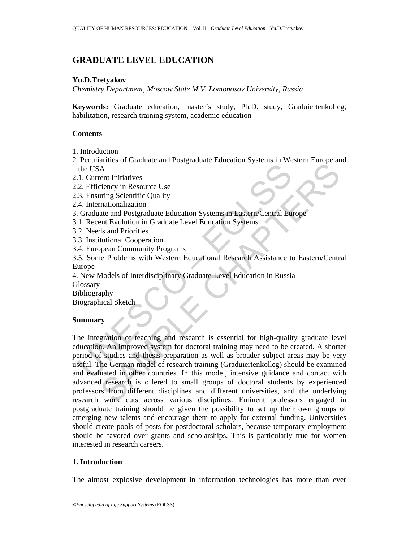# **GRADUATE LEVEL EDUCATION**

## **Yu.D.Tretyakov**

*Chemistry Department, Moscow State M.V. Lomonosov University, Russia* 

**Keywords:** Graduate education, master's study, Ph.D. study, Graduiertenkolleg, habilitation, research training system, academic education

#### **Contents**

- 1. Introduction
- 2. Peculiarities of Graduate and Postgraduate Education Systems in Western Europe and the USA
- 2.1. Current Initiatives
- 2.2. Efficiency in Resource Use
- 2.3. Ensuring Scientific Quality
- 2.4. Internationalization
- 3. Graduate and Postgraduate Education Systems in Eastern/Central Europe
- 3.1. Recent Evolution in Graduate Level Education Systems
- 3.2. Needs and Priorities
- 3.3. Institutional Cooperation
- 3.4. European Community Programs
- 3.5. Some Problems with Western Educational Research Assistance to Eastern/Central Europe
- 4. New Models of Interdisciplinary Graduate-Level Education in Russia **Glossary**
- Bibliography

Biographical Sketch

### **Summary**

The USA<br>
1. Current Initiatives<br>
2. Efficiency in Resource Use<br>
2. Efficiency in Resource Use<br>
4. Internationalization<br>
4. Internationalization<br>
1. Recent Evolution in Graduate Education Systems in Eastern/Central Eu<br>
1. R The Section of Basic Contents and Constrainers of Change and Thilian Constant<br>
A A ent Initiatives<br>
time Scientific Quality<br>
mationalization<br>
the Evolution in Graduate Level Education Systems<br>
that and Postgraduate Level E The integration of teaching and research is essential for high-quality graduate level education. An improved system for doctoral training may need to be created. A shorter period of studies and thesis preparation as well as broader subject areas may be very useful. The German model of research training (Graduiertenkolleg) should be examined and evaluated in other countries. In this model, intensive guidance and contact with advanced research is offered to small groups of doctoral students by experienced professors from different disciplines and different universities, and the underlying research work cuts across various disciplines. Eminent professors engaged in postgraduate training should be given the possibility to set up their own groups of emerging new talents and encourage them to apply for external funding. Universities should create pools of posts for postdoctoral scholars, because temporary employment should be favored over grants and scholarships. This is particularly true for women interested in research careers.

### **1. Introduction**

The almost explosive development in information technologies has more than ever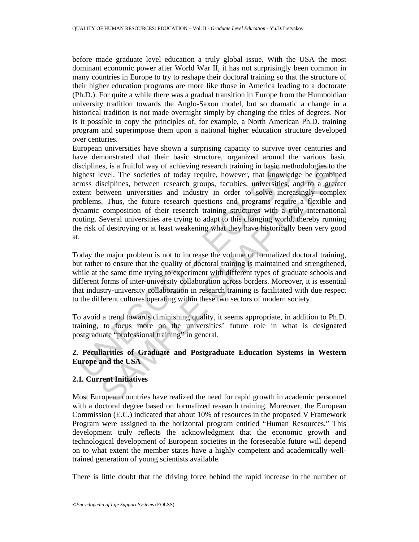before made graduate level education a truly global issue. With the USA the most dominant economic power after World War II, it has not surprisingly been common in many countries in Europe to try to reshape their doctoral training so that the structure of their higher education programs are more like those in America leading to a doctorate (Ph.D.). For quite a while there was a gradual transition in Europe from the Humboldian university tradition towards the Anglo-Saxon model, but so dramatic a change in a historical tradition is not made overnight simply by changing the titles of degrees. Nor is it possible to copy the principles of, for example, a North American Ph.D. training program and superimpose them upon a national higher education structure developed over centuries.

isciplines, is a fruitful way of achieving research training in basic met<br>gighest level. The societies of today require, however, that knowled<br>trests disciplines, between research groups, faculties, universities,<br>tent betw is, is a fruitful way of achieving research training in basie methodologies to the coed. The societies of today require, however, that knowledge be combined event increasingly complete coed increasing the coed increasing c European universities have shown a surprising capacity to survive over centuries and have demonstrated that their basic structure, organized around the various basic disciplines, is a fruitful way of achieving research training in basic methodologies to the highest level. The societies of today require, however, that knowledge be combined across disciplines, between research groups, faculties, universities, and to a greater extent between universities and industry in order to solve increasingly complex problems. Thus, the future research questions and programs require a flexible and dynamic composition of their research training structures with a truly international routing. Several universities are trying to adapt to this changing world, thereby running the risk of destroying or at least weakening what they have historically been very good at.

Today the major problem is not to increase the volume of formalized doctoral training, but rather to ensure that the quality of doctoral training is maintained and strengthened, while at the same time trying to experiment with different types of graduate schools and different forms of inter-university collaboration across borders. Moreover, it is essential that industry-university collaboration in research training is facilitated with due respect to the different cultures operating within these two sectors of modern society.

To avoid a trend towards diminishing quality, it seems appropriate, in addition to Ph.D. training, to focus more on the universities' future role in what is designated postgraduate "professional training" in general.

# **2. Peculiarities of Graduate and Postgraduate Education Systems in Western Europe and the USA**

# **2.1. Current Initiatives**

Most European countries have realized the need for rapid growth in academic personnel with a doctoral degree based on formalized research training. Moreover, the European Commission (E.C.) indicated that about 10% of resources in the proposed V Framework Program were assigned to the horizontal program entitled "Human Resources." This development truly reflects the acknowledgment that the economic growth and technological development of European societies in the foreseeable future will depend on to what extent the member states have a highly competent and academically welltrained generation of young scientists available.

There is little doubt that the driving force behind the rapid increase in the number of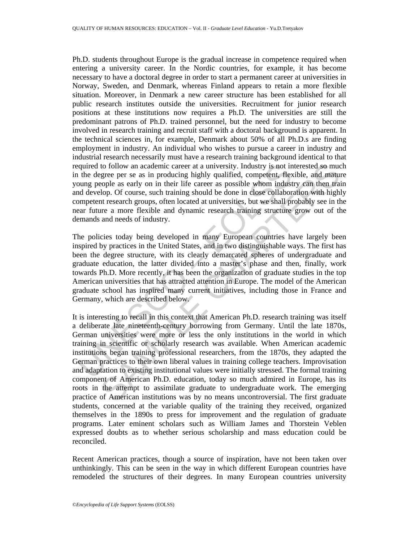Ph.D. students throughout Europe is the gradual increase in competence required when entering a university career. In the Nordic countries, for example, it has become necessary to have a doctoral degree in order to start a permanent career at universities in Norway, Sweden, and Denmark, whereas Finland appears to retain a more flexible situation. Moreover, in Denmark a new career structure has been established for all public research institutes outside the universities. Recruitment for junior research positions at these institutions now requires a Ph.D. The universities are still the predominant patrons of Ph.D. trained personnel, but the need for industry to become involved in research training and recruit staff with a doctoral background is apparent. In the technical sciences in, for example, Denmark about 50% of all Ph.D.s are finding employment in industry. An individual who wishes to pursue a career in industry and industrial research necessarily must have a research training background identical to that required to follow an academic career at a university. Industry is not interested so much in the degree per se as in producing highly qualified, competent, flexible, and mature young people as early on in their life career as possible whom industry can then train and develop. Of course, such training should be done in close collaboration with highly competent research groups, often located at universities, but we shall probably see in the near future a more flexible and dynamic research training structure grow out of the demands and needs of industry.

equired to follow an academic career at a university. Industry is not in<br>the degree per se as in producing highly qualified, competent, flex<br>outing people as early on in their life career as possible whom indust<br>outdevelop The policies today being developed in many European countries have largely been inspired by practices in the United States, and in two distinguishable ways. The first has been the degree structure, with its clearly demarcated spheres of undergraduate and graduate education, the latter divided into a master's phase and then, finally, work towards Ph.D. More recently, it has been the organization of graduate studies in the top American universities that has attracted attention in Europe. The model of the American graduate school has inspired many current initiatives, including those in France and Germany, which are described below.

to follow an academic career at a university. Industry is not interested so muc<br>grope per se as in producing highly qualified, competent, flexible, and matur<br>opple as early on in their life career as possible whom industry It is interesting to recall in this context that American Ph.D. research training was itself a deliberate late nineteenth-century borrowing from Germany. Until the late 1870s, German universities were more or less the only institutions in the world in which training in scientific or scholarly research was available. When American academic institutions began training professional researchers, from the 1870s, they adapted the German practices to their own liberal values in training college teachers. Improvisation and adaptation to existing institutional values were initially stressed. The formal training component of American Ph.D. education, today so much admired in Europe, has its roots in the attempt to assimilate graduate to undergraduate work. The emerging practice of American institutions was by no means uncontroversial. The first graduate students, concerned at the variable quality of the training they received, organized themselves in the 1890s to press for improvement and the regulation of graduate programs. Later eminent scholars such as William James and Thorstein Veblen expressed doubts as to whether serious scholarship and mass education could be reconciled.

Recent American practices, though a source of inspiration, have not been taken over unthinkingly. This can be seen in the way in which different European countries have remodeled the structures of their degrees. In many European countries university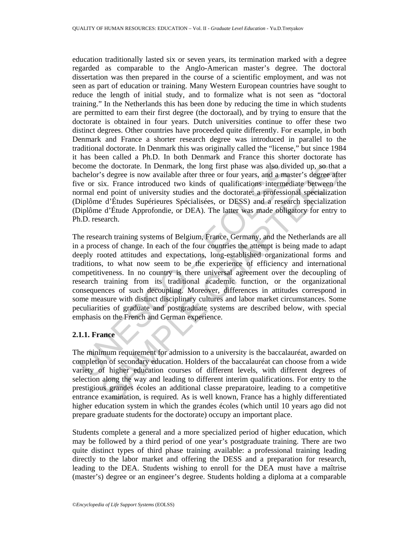education traditionally lasted six or seven years, its termination marked with a degree regarded as comparable to the Anglo-American master's degree. The doctoral dissertation was then prepared in the course of a scientific employment, and was not seen as part of education or training. Many Western European countries have sought to reduce the length of initial study, and to formalize what is not seen as "doctoral training." In the Netherlands this has been done by reducing the time in which students are permitted to earn their first degree (the doctoraal), and by trying to ensure that the doctorate is obtained in four years. Dutch universities continue to offer these two distinct degrees. Other countries have proceeded quite differently. For example, in both Denmark and France a shorter research degree was introduced in parallel to the traditional doctorate. In Denmark this was originally called the "license," but since 1984 it has been called a Ph.D. In both Denmark and France this shorter doctorate has become the doctorate. In Denmark, the long first phase was also divided up, so that a bachelor's degree is now available after three or four years, and a master's degree after five or six. France introduced two kinds of qualifications intermediate between the normal end point of university studies and the doctorate: a professional specialization (Diplôme d'Études Supérieures Spécialisées, or DESS) and a research specialization (Diplôme d'Étude Approfondie, or DEA). The latter was made obligatory for entry to Ph.D. research.

ecome the doctorate. In Denmark, the long first phase was also diviachelor's degree is now available after three or four years, and a mass<br>conclor's degree is now available after three or four years, and a mass<br>or on six. the doctorate. In Denmark, the long first phase was also divided up, so that is degree is now available after three or four years, and a master's degree after streate is degree after the six, trance introduced two kinds of The research training systems of Belgium, France, Germany, and the Netherlands are all in a process of change. In each of the four countries the attempt is being made to adapt deeply rooted attitudes and expectations, long-established organizational forms and traditions, to what now seem to be the experience of efficiency and international competitiveness. In no country is there universal agreement over the decoupling of research training from its traditional academic function, or the organizational consequences of such decoupling. Moreover, differences in attitudes correspond in some measure with distinct disciplinary cultures and labor market circumstances. Some peculiarities of graduate and postgraduate systems are described below, with special emphasis on the French and German experience.

## **2.1.1. France**

The minimum requirement for admission to a university is the baccalauréat, awarded on completion of secondary education. Holders of the baccalauréat can choose from a wide variety of higher education courses of different levels, with different degrees of selection along the way and leading to different interim qualifications. For entry to the prestigious grandes écoles an additional classe preparatoire, leading to a competitive entrance examination, is required. As is well known, France has a highly differentiated higher education system in which the grandes écoles (which until 10 years ago did not prepare graduate students for the doctorate) occupy an important place.

Students complete a general and a more specialized period of higher education, which may be followed by a third period of one year's postgraduate training. There are two quite distinct types of third phase training available: a professional training leading directly to the labor market and offering the DESS and a preparation for research, leading to the DEA. Students wishing to enroll for the DEA must have a maîtrise (master's) degree or an engineer's degree. Students holding a diploma at a comparable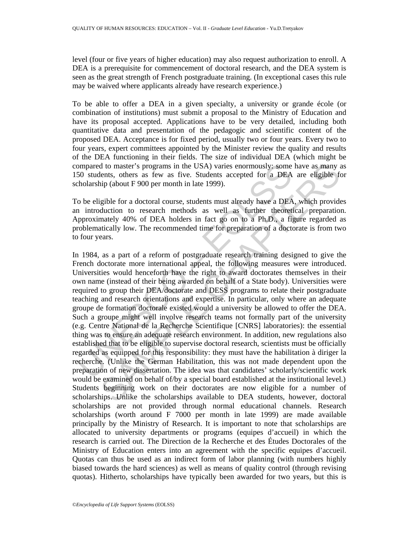level (four or five years of higher education) may also request authorization to enroll. A DEA is a prerequisite for commencement of doctoral research, and the DEA system is seen as the great strength of French postgraduate training. (In exceptional cases this rule may be waived where applicants already have research experience.)

To be able to offer a DEA in a given specialty, a university or grande école (or combination of institutions) must submit a proposal to the Ministry of Education and have its proposal accepted. Applications have to be very detailed, including both quantitative data and presentation of the pedagogic and scientific content of the proposed DEA. Acceptance is for fixed period, usually two or four years. Every two to four years, expert committees appointed by the Minister review the quality and results of the DEA functioning in their fields. The size of individual DEA (which might be compared to master's programs in the USA) varies enormously: some have as many as 150 students, others as few as five. Students accepted for a DEA are eligible for scholarship (about F 900 per month in late 1999).

To be eligible for a doctoral course, students must already have a DEA, which provides an introduction to research methods as well as further theoretical preparation. Approximately 40% of DEA holders in fact go on to a Ph.D., a figure regarded as problematically low. The recommended time for preparation of a doctorate is from two to four years.

of students, others as few as five USA) varies enormously; some<br>50 students, others as few as five. Students accepted for a DEA<br>cholarship (about F 900 per month in late 1999).<br>0 be eligible for a doctoral course, students d to master's programs in the USA) varies enormously; some have as many a<br>lents, others as few as five. Students accepted for a DEA are eligible for<br>thip (about F 900 per month in hat 1999).<br>gible for a doctoral course, st In 1984, as a part of a reform of postgraduate research training designed to give the French doctorate more international appeal, the following measures were introduced. Universities would henceforth have the right to award doctorates themselves in their own name (instead of their being awarded on behalf of a State body). Universities were required to group their DEA/doctorate and DESS programs to relate their postgraduate teaching and research orientations and expertise. In particular, only where an adequate groupe de formation doctorale existed would a university be allowed to offer the DEA. Such a groupe might well involve research teams not formally part of the university (e.g. Centre National de la Recherche Scientifique [CNRS] laboratories): the essential thing was to ensure an adequate research environment. In addition, new regulations also established that to be eligible to supervise doctoral research, scientists must be officially regarded as equipped for this responsibility: they must have the habilitation à diriger la recherche. (Unlike the German Habilitation, this was not made dependent upon the preparation of new dissertation. The idea was that candidates' scholarly/scientific work would be examined on behalf of/by a special board established at the institutional level.) Students beginning work on their doctorates are now eligible for a number of scholarships. Unlike the scholarships available to DEA students, however, doctoral scholarships are not provided through normal educational channels. Research scholarships (worth around F 7000 per month in late 1999) are made available principally by the Ministry of Research. It is important to note that scholarships are allocated to university departments or programs (equipes d'accueil) in which the research is carried out. The Direction de la Recherche et des Études Doctorales of the Ministry of Education enters into an agreement with the specific equipes d'accueil. Quotas can thus be used as an indirect form of labor planning (with numbers highly biased towards the hard sciences) as well as means of quality control (through revising quotas). Hitherto, scholarships have typically been awarded for two years, but this is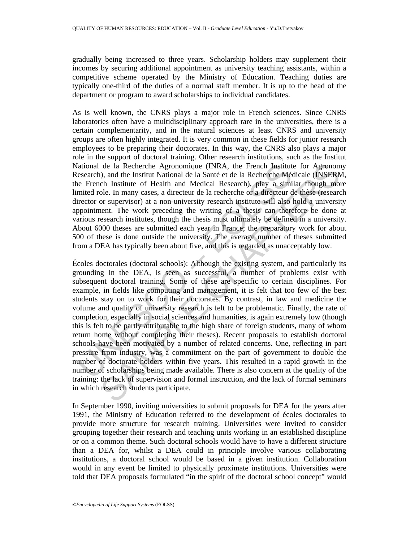gradually being increased to three years. Scholarship holders may supplement their incomes by securing additional appointment as university teaching assistants, within a competitive scheme operated by the Ministry of Education. Teaching duties are typically one-third of the duties of a normal staff member. It is up to the head of the department or program to award scholarships to individual candidates.

As is well known, the CNRS plays a major role in French sciences. Since CNRS laboratories often have a multidisciplinary approach rare in the universities, there is a certain complementarity, and in the natural sciences at least CNRS and university groups are often highly integrated. It is very common in these fields for junior research employees to be preparing their doctorates. In this way, the CNRS also plays a major role in the support of doctoral training. Other research institutions, such as the Institut National de la Recherche Agronomique (INRA, the French Institute for Agronomy Research), and the Institut National de la Santé et de la Recherche Médicale (INSERM, the French Institute of Health and Medical Research), play a similar though more limited role. In many cases, a directeur de la recherche or a directeur de thèse (research director or supervisor) at a non-university research institute will also hold a university appointment. The work preceding the writing of a thesis can therefore be done at various research institutes, though the thesis must ultimately be defined in a university. About 6000 theses are submitted each year in France; the preparatory work for about 500 of these is done outside the university. The average number of theses submitted from a DEA has typically been about five, and this is regarded as unacceptably low.

ational de la Recherche Agronomique (INRA, the French Institutesearch), and the Institut National de la Santé et de la Recherche Médien efferench Institute of Health and Medical Research), play a similare inferenche mirite de la Recherche Agronomique (INRA, the French Institute for Agronom<br>
c), and the institut National de la Santé et de la Recherche Médicale (INSERNo.)<br>
ch ch Institute of Health and Medical Research), play a similar though Écoles doctorales (doctoral schools): Although the existing system, and particularly its grounding in the DEA, is seen as successful, a number of problems exist with subsequent doctoral training. Some of these are specific to certain disciplines. For example, in fields like computing and management, it is felt that too few of the best students stay on to work for their doctorates. By contrast, in law and medicine the volume and quality of university research is felt to be problematic. Finally, the rate of completion, especially in social sciences and humanities, is again extremely low (though this is felt to be partly attributable to the high share of foreign students, many of whom return home without completing their theses). Recent proposals to establish doctoral schools have been motivated by a number of related concerns. One, reflecting in part pressure from industry, was a commitment on the part of government to double the number of doctorate holders within five years. This resulted in a rapid growth in the number of scholarships being made available. There is also concern at the quality of the training: the lack of supervision and formal instruction, and the lack of formal seminars in which research students participate.

In September 1990, inviting universities to submit proposals for DEA for the years after 1991, the Ministry of Education referred to the development of écoles doctorales to provide more structure for research training. Universities were invited to consider grouping together their research and teaching units working in an established discipline or on a common theme. Such doctoral schools would have to have a different structure than a DEA for, whilst a DEA could in principle involve various collaborating institutions, a doctoral school would be based in a given institution. Collaboration would in any event be limited to physically proximate institutions. Universities were told that DEA proposals formulated "in the spirit of the doctoral school concept" would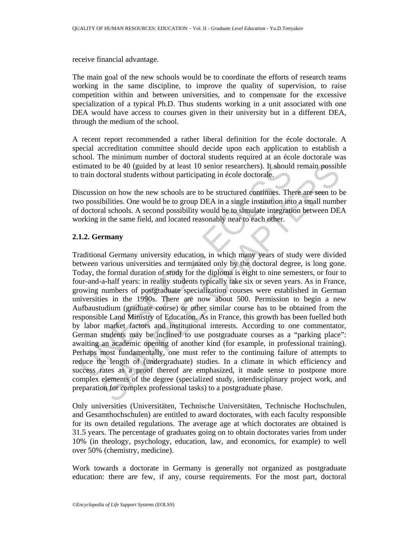receive financial advantage.

The main goal of the new schools would be to coordinate the efforts of research teams working in the same discipline, to improve the quality of supervision, to raise competition within and between universities, and to compensate for the excessive specialization of a typical Ph.D. Thus students working in a unit associated with one DEA would have access to courses given in their university but in a different DEA, through the medium of the school.

A recent report recommended a rather liberal definition for the école doctorale. A special accreditation committee should decide upon each application to establish a school. The minimum number of doctoral students required at an école doctorale was estimated to be 40 (guided by at least 10 senior researchers). It should remain possible to train doctoral students without participating in école doctorale.

Discussion on how the new schools are to be structured continues. There are seen to be two possibilities. One would be to group DEA in a single institution into a small number of doctoral schools. A second possibility would be to simulate integration between DEA working in the same field, and located reasonably near to each other.

## **2.1.2. Germany**

stimated to be 40 (guided by at least 10 senior researchers). It should<br>train doctoral students without participating in école doctorale.<br>
viscussion on how the new schools are to be structured continues. The<br>
vo possibili d to be 40 (guided by at least 10 senior researchers). It should remain possible coctoral students without participating in école doctorale.<br>
Solution and the or group DEA in a single institution into a small number is<br>
ib Traditional Germany university education, in which many years of study were divided between various universities and terminated only by the doctoral degree, is long gone. Today, the formal duration of study for the diploma is eight to nine semesters, or four to four-and-a-half years: in reality students typically take six or seven years. As in France, growing numbers of postgraduate specialization courses were established in German universities in the 1990s. There are now about 500. Permission to begin a new Aufbaustudium (graduate course) or other similar course has to be obtained from the responsible Land Ministry of Education. As in France, this growth has been fuelled both by labor market factors and institutional interests. According to one commentator, German students may be inclined to use postgraduate courses as a "parking place": awaiting an academic opening of another kind (for example, in professional training). Perhaps most fundamentally, one must refer to the continuing failure of attempts to reduce the length of (undergraduate) studies. In a climate in which efficiency and success rates as a proof thereof are emphasized, it made sense to postpone more complex elements of the degree (specialized study, interdisciplinary project work, and preparation for complex professional tasks) to a postgraduate phase.

Only universities (Universitäten, Technische Universitäten, Technische Hochschulen, and Gesamthochschulen) are entitled to award doctorates, with each faculty responsible for its own detailed regulations. The average age at which doctorates are obtained is 31.5 years. The percentage of graduates going on to obtain doctorates varies from under 10% (in theology, psychology, education, law, and economics, for example) to well over 50% (chemistry, medicine).

Work towards a doctorate in Germany is generally not organized as postgraduate education: there are few, if any, course requirements. For the most part, doctoral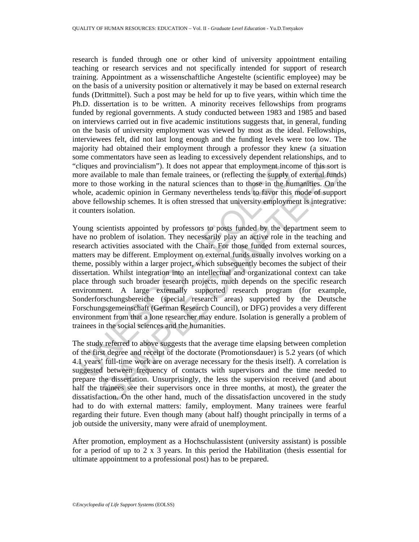research is funded through one or other kind of university appointment entailing teaching or research services and not specifically intended for support of research training. Appointment as a wissenschaftliche Angestelte (scientific employee) may be on the basis of a university position or alternatively it may be based on external research funds (Drittmittel). Such a post may be held for up to five years, within which time the Ph.D. dissertation is to be written. A minority receives fellowships from programs funded by regional governments. A study conducted between 1983 and 1985 and based on interviews carried out in five academic institutions suggests that, in general, funding on the basis of university employment was viewed by most as the ideal. Fellowships, interviewees felt, did not last long enough and the funding levels were too low. The majority had obtained their employment through a professor they knew (a situation some commentators have seen as leading to excessively dependent relationships, and to "cliques and provincialism"). It does not appear that employment income of this sort is more available to male than female trainees, or (reflecting the supply of external funds) more to those working in the natural sciences than to those in the humanities. On the whole, academic opinion in Germany nevertheless tends to favor this mode of support above fellowship schemes. It is often stressed that university employment is integrative: it counters isolation.

cliques and provincialism"). It does not appear that employment inco<br>ore available to male than female trainees, or (reflecting the supply<br>porter to those working in the natural sciences than to those in the hu<br>hole, acade and provincialism"). It does not appear that employment income of this sort aliable to male than fenale traines, or (reflecting the supply of external funds<br>those working in the natural sciences than to those in the humani Young scientists appointed by professors to posts funded by the department seem to have no problem of isolation. They necessarily play an active role in the teaching and research activities associated with the Chair. For those funded from external sources, matters may be different. Employment on external funds usually involves working on a theme, possibly within a larger project, which subsequently becomes the subject of their dissertation. Whilst integration into an intellectual and organizational context can take place through such broader research projects, much depends on the specific research environment. A large externally supported research program (for example, Sonderforschungsbereiche (special research areas) supported by the Deutsche Forschungsgemeinschaft (German Research Council), or DFG) provides a very different environment from that a lone researcher may endure. Isolation is generally a problem of trainees in the social sciences and the humanities.

The study referred to above suggests that the average time elapsing between completion of the first degree and receipt of the doctorate (Promotionsdauer) is 5.2 years (of which 4.1 years' full-time work are on average necessary for the thesis itself). A correlation is suggested between frequency of contacts with supervisors and the time needed to prepare the dissertation. Unsurprisingly, the less the supervision received (and about half the trainees see their supervisors once in three months, at most), the greater the dissatisfaction. On the other hand, much of the dissatisfaction uncovered in the study had to do with external matters: family, employment. Many trainees were fearful regarding their future. Even though many (about half) thought principally in terms of a job outside the university, many were afraid of unemployment.

After promotion, employment as a Hochschulassistent (university assistant) is possible for a period of up to 2 x 3 years. In this period the Habilitation (thesis essential for ultimate appointment to a professional post) has to be prepared.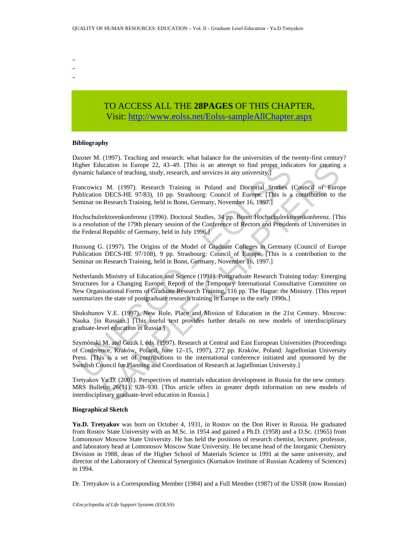- - -

# TO ACCESS ALL THE **28PAGES** OF THIS CHAPTER, Visi[t: http://www.eolss.net/Eolss-sampleAllChapter.aspx](https://www.eolss.net/ebooklib/sc_cart.aspx?File=E1-12-03-05)

#### **Bibliography**

Daxner M. (1997). Teaching and research: what balance for the universities of the twenty-first century? Higher Education in Europe 22, 43–49. [This is an attempt to find proper indicators for creating a dynamic balance of teaching, study, research, and services in any university.]

Francowicz M. (1997). Research Training in Poland and Doctorial Studies (Council of Europe Publication DECS-HE 97/83), 10 pp. Strasbourg: Council of Europe. [This is a contribution to the Seminar on Research Training, held in Bonn, Germany, November 16, 1997.]

Hochschulrektorenkonferenz (1996). Doctoral Studies, 34 pp. Bonn: Hochschulrektorenkonferenz. [This is a resolution of the 179th plenary session of the Conference of Rectors and Presidents of Universities in the Federal Republic of Germany, held in July 1996.]

Hussung G. (1997). The Origins of the Model of Graduate Colleges in Germany (Council of Europe Publication DECS-HE 97/108), 9 pp. Strasbourg: Council of Europe. [This is a contribution to the Seminar on Research Training, held in Bonn, Germany, November 16, 1997.]

igher Education in Europe 22, 43–49. [This is an attempt to find proper indicentation and Direction and Direction and Direction Burdetin Statement Consists Carolination DECS-HE 97/83), 10 pp. Strashourg: Council of Europe. diance of teaching, study, research, and services in any university.<br>
2 M. (1997). Research Training in Poland and Doctorial Studies (Coincil of Europe DECS-HE 97/83), 10 pp. Strasbourg: Council of Europe. This is a contri Netherlands Ministry of Education and Science (1991). Postgraduate Research Training today: Emerging Structures for a Changing Europe: Report of the Temporary International Consultative Committee on New Organisational Forms of Graduate Research Training, 116 pp. The Hague: the Ministry. [This report summarizes the state of postgraduate research training in Europe in the early 1990s.]

Shukshunov V.E. (1997). New Role, Place and Mission of Education in the 21st Century. Moscow: Nauka. [in Russian.] [This useful text provides further details on new models of interdisciplinary graduate-level education in Russia.]

Szymónski M. and Guzik I, eds. (1997). Research at Central and East European Universities (Proceedings of Conference, Kraków, Poland, June 12–15, 1997), 272 pp. Kraków, Poland: Jagiellonian University Press. [This is a set of contributions to the international conference initiated and sponsored by the Swedish Council for Planning and Coordination of Research at Jagiellonian University.]

Tretyakov Yu.D. (2001). Perspectives of materials education development in Russia for the new century. MRS Bulletin 26(11), 928–930. [This article offers in greater depth information on new models of interdisciplinary graduate-level education in Russia.]

#### **Biographical Sketch**

**Yu.D. Tretyakov** was born on October 4, 1931, in Rostov on the Don River in Russia. He graduated from Rostov State University with an M.Sc. in 1954 and gained a Ph.D. (1958) and a D.Sc. (1965) from Lomonosov Moscow State University. He has held the positions of research chemist, lecturer, professor, and laboratory head at Lomonosov Moscow State University. He became head of the Inorganic Chemistry Division in 1988, dean of the Higher School of Materials Science in 1991 at the same university, and director of the Laboratory of Chemical Synergistics (Kurnakov Institute of Russian Academy of Sciences) in 1994.

Dr. Tretyakov is a Corresponding Member (1984) and a Full Member (1987) of the USSR (now Russian)